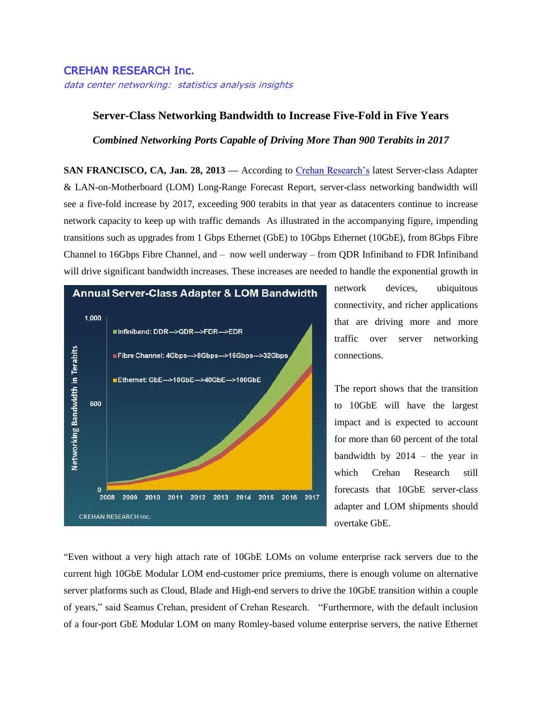## CREHAN RESEARCH Inc.

data center networking: statistics analysis insights

## **Server-Class Networking Bandwidth to Increase Five-Fold in Five Years**

*Combined Networking Ports Capable of Driving More Than 900 Terabits in 2017*

**SAN FRANCISCO, CA, Jan. 28, 2013 —** According to [Crehan Research's](http://www.crehanresearch.com/) latest Server-class Adapter & LAN-on-Motherboard (LOM) Long-Range Forecast Report, server-class networking bandwidth will see a five-fold increase by 2017, exceeding 900 terabits in that year as datacenters continue to increase network capacity to keep up with traffic demands As illustrated in the accompanying figure, impending transitions such as upgrades from 1 Gbps Ethernet (GbE) to 10Gbps Ethernet (10GbE), from 8Gbps Fibre Channel to 16Gbps Fibre Channel, and – now well underway – from QDR Infiniband to FDR Infiniband will drive significant bandwidth increases. These increases are needed to handle the exponential growth in



network devices, ubiquitous connectivity, and richer applications that are driving more and more traffic over server networking connections.

The report shows that the transition to 10GbE will have the largest impact and is expected to account for more than 60 percent of the total bandwidth by  $2014 -$  the year in which Crehan Research still forecasts that 10GbE server-class adapter and LOM shipments should overtake GbE.

"Even without a very high attach rate of 10GbE LOMs on volume enterprise rack servers due to the current high 10GbE Modular LOM end-customer price premiums, there is enough volume on alternative server platforms such as Cloud, Blade and High-end servers to drive the 10GbE transition within a couple of years," said Seamus Crehan, president of Crehan Research. "Furthermore, with the default inclusion of a four-port GbE Modular LOM on many Romley-based volume enterprise servers, the native Ethernet